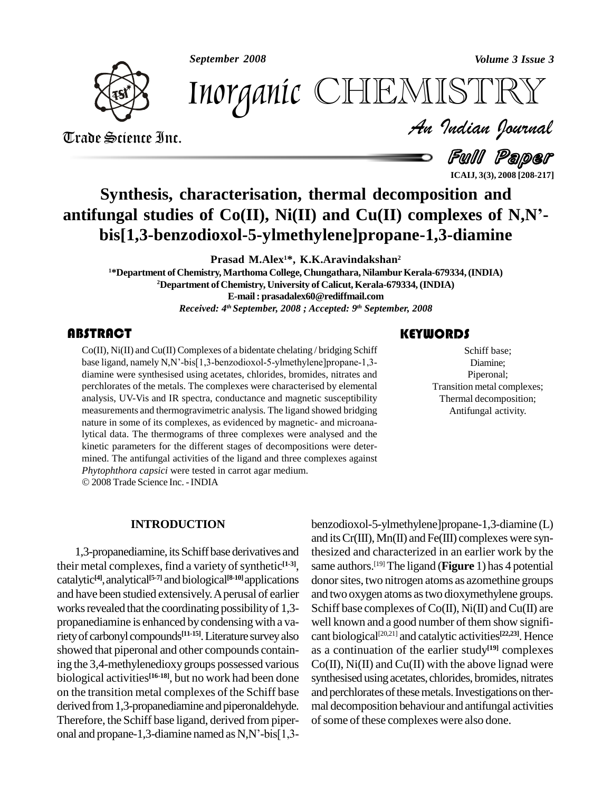*September 2008 Volume 3 Issue 3*



*Volume 3 Issue 3*<br>ISTRY<br>Indian Iournal Inorganic CHEMISTRY

Trade Science Inc. Trade Science Inc.

Full Paper **ICAIJ, 3(3), 2008 [208-217]**

# **Synthesis, characterisation, thermal decomposition and antifungal studies of Co(II), Ni(II) and Cu(II) complexes of N,Ní bis[1,3-benzodioxol-5-ylmethylene]propane-1,3-diamine**

**Prasad M.Alex <sup>1</sup>\*, K.K.Aravindakshan 2**

<sup>1\*</sup>Department of Chemistry, Marthoma College, Chungathara, Nilambur Kerala-679334, (INDIA) **<sup>2</sup>Department ofChemistry, University of Calicut,Kerala-679334,(INDIA) E-mail: [prasadalex60@rediffmail.com](mailto:prasadalex60@rediffmail.com)** *Received: 4 th September, 2008 ; Accepted: 9 th September, 2008*

**EXECUTE:**<br>
Co(II), Ni(II) and Cu(II) Complexes of a bidentate chelating/bridging Schiff<br>
base ligand, namely N,N'-bis[1,3-benzodioxol-5-ylmethylene]propane-1,3-<br>
diamine were synthesised using acetates, chlorides, bromid Co(II), Ni(II) and Cu(II) Complexes of a bidentate chelating / bridging Schiff diamine were synthesised using acetates, chlorides, bromides, nitrates and perchlorates of the metals. The complexes were characterised by elemental analysis, UV-Vis and IR spectra, conductance and magnetic susceptibility measurements and thermogravimetric analysis. The ligand showed bridging nature in some of its complexes, as evidenced by magnetic- and microanalytical data. The thermograms of three complexes were analysed and the kinetic parameters for the different stages of decompositions were deter mined. The antifungal activities of the ligand and three complexes against *Phytophthora capsici* were tested in carrot agar medium. 2008Trade Science Inc. -INDIA

Schiff base;<br>Diamine;<br>Piperonal; Schiff base; Diamine; Piperonal; Transition metal complexes; Thermal decomposition; Antifungal activity.

### **INTRODUCTION**

1,3-propanediamine, its Schiff base derivatives and their metal complexes, find a variety of synthetic<sup>[1-3]</sup>, sa catalytic **[4]**,analytical **[5-7]** and biological **[8-10]**applications and have been studied extensively.Aperusal of earlier works revealed that the coordinating possibility of 1,3propanediamine is enhanced bycondensingwith a varietyof carbonyl compounds **[11-15]**.Literature surveyalso showed that piperonal and other compounds containing the 3,4-methylenedioxygroups possessed various biological activities **[16-18]**, but no work had been done on the transition metal complexes of the Schiff base derived from 1,3-propanediamine and piperonaldehyde. Therefore, the Schiff base ligand, derived from piper derived from 1,3-propanediamine and piperonaldehyde. mal<br>Therefore, the Schiff base ligand, derived from piper-<br>onal and propane-1,3-diamine named as N,N'-bis[1,3-

benzodioxol-5-ylmethylene]propane-1,3-diamine (L) and its  $Cr(III)$ ,  $Mn(II)$  and  $Fe(III)$  complexes were synthesized and characterized in an earlier work by the same authors. [19] The ligand (**Figure** 1) has 4 potential donor sites, two nitrogen atoms as azomethine groups and two oxygen atoms as two dioxymethylene groups. Schiff base complexes of  $Co(II)$ ,  $Ni(II)$  and  $Cu(II)$  are well known and a good number of them show significant biological [20,21] and catalytic activities **[22,23]**. Hence as a continuation of the earlier study **[19]** complexes  $Co(II)$ ,  $Ni(II)$  and  $Cu(II)$  with the above lignad were synthesised using acetates, chlorides, bromides, nitrates and perchlorates of these metals. Investigations on thermal decomposition behaviour and antifungal activities of some of these complexes were also done.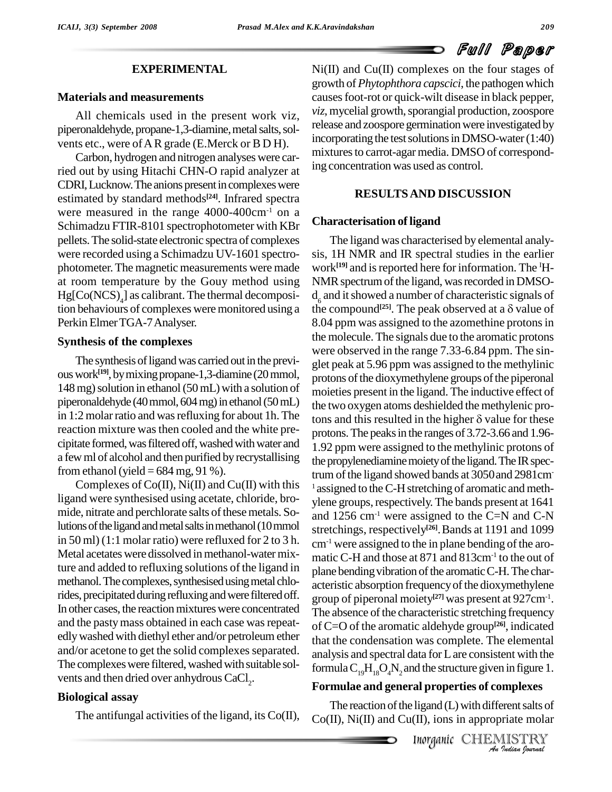#### **EXPERIMENTAL**

#### **Materials and measurements**

All chemicals used in the present work viz, piperonaldehyde, propane-1,3-diamine, metal salts, solvents etc., were ofAR grade (E.Merck or B D H).

Carbon, hydrogen and nitrogen analyses were carried out by using Hitachi CHN-O rapid analyzer at CDRI, Lucknow. The anions present in complexes were estimated by standard methods **[24]**. Infrared spectra were measured in the range 4000-400cm<sup>-1</sup> on a Schimadzu FTIR-8101 spectrophotometer with KBr pellets.The solid-state electronic spectra of complexes were recorded using a Schimadzu UV-1601 spectro photometer.The magnetic measurements were made at room temperature by the Gouy method using Hg[Co(NCS) <sup>4</sup>] as calibrant. The thermal decomposition behaviours of complexes were monitored using a Perkin Elmer TGA-7 Analyser.

#### **Synthesis of the complexes**

The synthesis of ligand was carried out in the previous work<sup>[19]</sup>, by mixing propane-1,3-diamine (20 mmol,  $\epsilon_{\text{nr}}$ 148 mg) solution in ethanol  $(50 \text{ mL})$  with a solution of piperonaldehyde (40 mmol, 604 mg) in ethanol (50 mL) in 1:2 molar ratio and was refluxing for about 1h. The tons and this resulted in the higher  $\delta$  value for these reaction mixture was then cooled and the white precipitate formed, was filtered off, washed with water and a few ml of alcohol and then purified by recrystallising from ethanol (yield  $= 684$  mg, 91 %).

Complexes of  $Co(II)$ ,  $Ni(II)$  and  $Cu(II)$  with this ligand were synthesised using acetate, chloride, bro mide, nitrate and perchlorate salts of these metals. Solutions of the ligand and metal salts in methanol (10 mmol) in 50 ml) (1:1 molar ratio) were refluxed for 2 to 3 h. Metal acetates were dissolved in methanol-water mixture and added to refluxing solutions of the ligand in methanol. The complexes, synthesised using metal chlorides, precipitated during refluxing and were filtered off. In other cases, the reaction mixtures were concentrated and the pasty mass obtained in each case was repeatedlywashed with diethyl ether and/or petroleum ether and/or acetone to get the solid complexes separated. The complexes were filtered, washed with suitable solvents and then dried over anhydrous  $\mathrm{CaCl}_{2}$ .

### **Biological assay**

The antifungal activities of the ligand, its  $Co(II)$ ,

Ni(II) and Cu(II) complexes on the four stages of growth of*Phytophthora capscici*, the pathogen which causesfoot-rot or quick-wilt disease in black pepper, *viz*, mycelial growth, sporangial production, zoospore release and zoospore germination were investigated by incorporating the test solutions in DMSO-water $(1:40)$ mixtures to carrot-agar media. DMSO of corresponding concentration was used as control.

### **RESULTSAND DISCUSSION**

#### **Characterisation of ligand**

formula  $C_{19}H_{18}O_4N_2$  and the structure given in figure 1. The ligand was characterised by elemental analy sis, 1H NMR and IR spectral studies in the earlier work<sup>[19]</sup> and is reported here for information. The <sup>I</sup>H-NMR spectrum of the ligand, was recorded in DMSO $d_6$  and it showed a number of characteristic signals of the compound<sup>[25]</sup>. The peak observed at a  $\delta$  value of For the ligand, was recorded in DMSO-<br>d a number of characteristic signals of<br><sup>[25]</sup>. The peak observed at a  $\delta$  value of 8.04 ppm was assigned to the azomethine protons in the molecule.The signals due to the aromatic protons were observed in the range 7.33-6.84 ppm. The sin glet peak at 5.96 ppm was assigned to the methylinic protons of the dioxymethylene groups of the piperonal moieties present in the ligand. The inductive effect of the two oxygen atoms deshielded the methylenic promoieties present in the ligand. The inductive effect of<br>the two oxygen atoms deshielded the methylenic pro-<br>tons and this resulted in the higher  $\delta$  value for these protons.The peaksin the ranges of 3.72-3.66 and 1.96- 1.92 ppm were assigned to the methylinic protons of the propylenediamine moiety of the ligand. The IR spectrum of the ligand showed bands at 3050 and 2981cm-<sup>1</sup> assigned to the C-H stretching of aromatic and methylene groups, respectively. The bands present at 1641 and 1256 cm<sup>-1</sup> were assigned to the C=N and C-N stretchings, respectively **[26]**.Bands at 1191 and 1099  $cm<sup>-1</sup>$  were assigned to the in plane bending of the aromatic C-H and those at 871 and 813cm-1 to the out of plane bending vibration of the aromatic C-H. The characteristic absorption frequency of the dioxymethylene group of piperonal moiety **[27]** was present at 927cm-1 . The absence of the characteristic stretching frequency of C=O of the aromatic aldehyde group **[26]**, indicated that the condensation was complete. The elemental analysis and spectral data for Lare consistent with the

## **Formulae and general properties of complexes**

**al properties of complexes<br>
ligand (L) with different salts of<br>
(II), ions in appropriate molar<br>** *Inorganic* **CHEMISTRY<br>** *An quation formal* The reaction of the ligand  $(L)$  with different salts of  $Co(II)$ , Ni $(II)$  and  $Cu(II)$ , ions in appropriate molar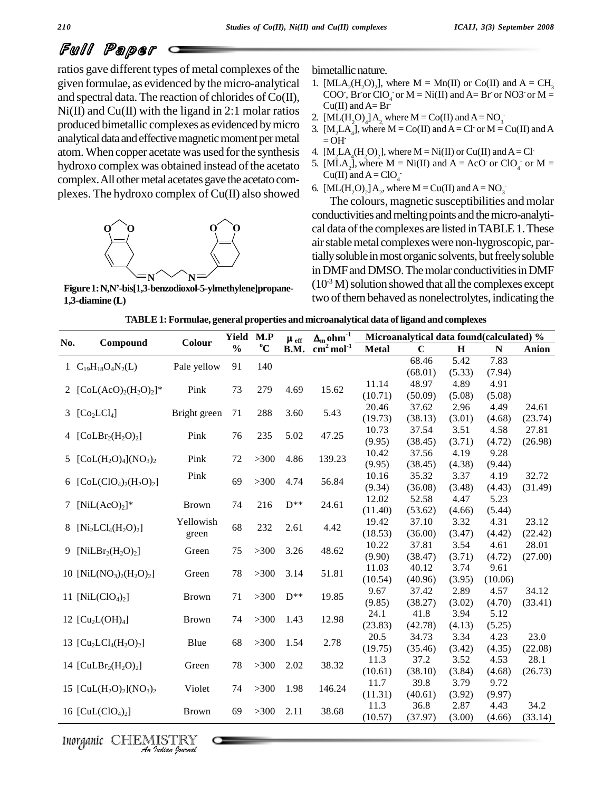ratios gave different types of metal complexes of the given formulae, as evidenced by the micro-analytical and spectral data. The reaction of chlorides of Co(II),  $Ni(II)$  and  $Cu(II)$  with the ligand in 2:1 molar ratios produced bimetallic complexes as evidenced bymicro analytical data and effective magnetic moment per metal atom.When copper acetate was used forthe synthesis hydroxo complex was obtained instead of the acetato complex. All other metal acetates gave the acetato complexes. The hydroxo complex of Cu(II) also showed



**Figure1:N,Ní-bis[1,3-benzodioxol-5-ylmethylene]propane- 1,3-diamine (L)**

bimetallic nature.

- 1. [MLA<sub>2</sub>(H<sub>2</sub>O<sub>2</sub>], where M = Mn(II) or Co(II) and A = CH<sub>3</sub> COO, Br or ClO<sub>4</sub> or M = Ni(II) and A = Br or NO3 or M = for  $ClO_4$  or  $M = Ni(II)$  and  $A = Br$  or  $NO3$  or  $M =$  $Cu(II)$  and  $A=Br$ -
- 2.  $\text{[ML(H<sub>2</sub>O)<sub>4</sub>] A<sub>2</sub> where M = Co(II) and A = NO<sub>3</sub>$
- 3.  $[M_2LA_4]$ , where  $M = Co(II)$  and  $A = Cl$  or  $M = Cu(II)$  and  $A$  $=$  OH $-$
- 4.  $[M_2LA_4(H_2O)_2]$ , where  $M = Ni(II)$  or Cu(II) and A = Cl<sup>-</sup>
- 5. [MLA<sub>2</sub>], where  $M = Ni(II)$  and  $A = AcO$  or  $ClO<sub>4</sub>$  or  $M =$ Cu(II) and  $A = ClO<sub>4</sub>$
- 6. [ML $(H_2O)_2$ ]  $A_2$ , where M = Cu(II) and A = NO<sub>3</sub>

The colours, magnetic susceptibilities and molar conductivities and melting points and the micro-analytical data of the complexes are listed in TABLE 1. These air stable metal complexes were non-hygroscopic, partially soluble in most organic solvents, but freely soluble in DMF and DMSO. The molar conductivities in DMF  $(10<sup>-3</sup> M)$  solution showed that all the complexes except two of them behaved as nonelectrolytes, indicating the

| TABLE 1: Formulae, general properties and microanalytical data of ligand and complexes |  |  |
|----------------------------------------------------------------------------------------|--|--|
|                                                                                        |  |  |

| No. | Compound                                                                 | Colour       | Yield         | M.P         | $\mu$ eff    | $\Delta_m$ ohm <sup>-1</sup> |              | Microanalytical data found(calculated) % |         |           |         |
|-----|--------------------------------------------------------------------------|--------------|---------------|-------------|--------------|------------------------------|--------------|------------------------------------------|---------|-----------|---------|
|     |                                                                          |              | $\frac{0}{0}$ | $\rm ^{o}C$ | B.M.         | $cm2 mol-1$                  | <b>Metal</b> | $\mathbf C$                              | $\bf H$ | ${\bf N}$ | Anion   |
|     | 1 $C_{19}H_{18}O_4N_2(L)$                                                | Pale yellow  | 91            | 140         |              |                              |              | 68.46                                    | 5.42    | 7.83      |         |
|     |                                                                          |              |               |             |              |                              |              | (68.01)                                  | (5.33)  | (7.94)    |         |
|     | 2 $[CoL(AcO)2(H2O)2]$ *                                                  | Pink         | 73            | 279         | 4.69         | 15.62                        | 11.14        | 48.97                                    | 4.89    | 4.91      |         |
|     |                                                                          |              |               |             |              |                              | (10.71)      | (50.09)                                  | (5.08)  | (5.08)    |         |
|     | 3 $[Co2LCl4]$                                                            | Bright green | 71            | 288         | 3.60         | 5.43                         | 20.46        | 37.62                                    | 2.96    | 4.49      | 24.61   |
|     |                                                                          |              |               |             |              |                              | (19.73)      | (38.13)                                  | (3.01)  | (4.68)    | (23.74) |
|     | 4 $[CoLBr2(H2O)2]$                                                       | Pink         | 76            | 235         | 5.02         | 47.25                        | 10.73        | 37.54                                    | 3.51    | 4.58      | 27.81   |
|     |                                                                          |              |               |             |              |                              | (9.95)       | (38.45)                                  | (3.71)  | (4.72)    | (26.98) |
|     | 5 $[CoL(H2O)4](NO3)2$                                                    | Pink         | 72            | $>300$      | 4.86         | 139.23                       | 10.42        | 37.56                                    | 4.19    | 9.28      |         |
|     |                                                                          |              |               |             |              |                              | (9.95)       | (38.45)                                  | (4.38)  | (9.44)    |         |
|     | 6 [CoL(ClO <sub>4</sub> ) <sub>2</sub> (H <sub>2</sub> O) <sub>2</sub> ] | Pink         | 69            | $>300$      |              | 4.74<br>56.84                | 10.16        | 35.32                                    | 3.37    | 4.19      | 32.72   |
|     |                                                                          |              |               |             |              |                              | (9.34)       | (36.08)                                  | (3.48)  | (4.43)    | (31.49) |
|     | 7 $[NiL(AcO)2]*$                                                         | <b>Brown</b> | 74            | 216         | $D^{**}$     | 24.61                        | 12.02        | 52.58                                    | 4.47    | 5.23      |         |
|     |                                                                          |              |               |             |              |                              | (11.40)      | (53.62)                                  | (4.66)  | (5.44)    |         |
|     | 8 $[Ni_2LCl_4(H_2O)_2]$                                                  | Yellowish    | 68            | 232         | 2.61<br>4.42 | 19.42                        | 37.10        | 3.32                                     | 4.31    | 23.12     |         |
|     |                                                                          | green        |               |             |              | (18.53)                      | (36.00)      | (3.47)                                   | (4.42)  | (22.42)   |         |
|     | 9 [NiLB $r_2(H_2O)_2$ ]                                                  | Green        | 75            | $>300$      | 3.26         | 48.62                        | 10.22        | 37.81                                    | 3.54    | 4.61      | 28.01   |
|     |                                                                          |              |               |             |              |                              | (9.90)       | (38.47)                                  | (3.71)  | (4.72)    | (27.00) |
|     | 10 [NiL(NO <sub>3</sub> ) <sub>2</sub> (H <sub>2</sub> O) <sub>2</sub> ] | Green        | $78\,$        | $>300$      | 3.14         | 51.81                        | 11.03        | 40.12                                    | 3.74    | 9.61      |         |
|     |                                                                          |              |               |             |              |                              | (10.54)      | (40.96)                                  | (3.95)  | (10.06)   |         |
|     | 11 [NiL $(ClO4)2$ ]                                                      | <b>Brown</b> | 71            | $>300$      | $D^{**}$     | 19.85                        | 9.67         | 37.42                                    | 2.89    | 4.57      | 34.12   |
|     |                                                                          |              |               |             |              |                              | (9.85)       | (38.27)                                  | (3.02)  | (4.70)    | (33.41) |
|     | 12 $[Cu2L(OH)4]$                                                         | <b>Brown</b> | 74            | $>300$      | 1.43         | 12.98                        | 24.1         | 41.8                                     | 3.94    | 5.12      |         |
|     |                                                                          |              |               |             |              |                              | (23.83)      | (42.78)                                  | (4.13)  | (5.25)    |         |
|     | 13 $[Cu2LCl4(H2O)2]$                                                     | Blue         | 68            | $>300$      | 1.54         | 2.78                         | 20.5         | 34.73                                    | 3.34    | 4.23      | 23.0    |
|     |                                                                          |              |               |             |              |                              | (19.75)      | (35.46)                                  | (3.42)  | (4.35)    | (22.08) |
|     | 14 [CuLBr <sub>2</sub> (H <sub>2</sub> O) <sub>2</sub> ]                 | Green        | $78\,$        | $>300$      | 2.02         | 38.32                        | 11.3         | 37.2                                     | 3.52    | 4.53      | 28.1    |
|     |                                                                          |              |               |             |              |                              | (10.61)      | (38.10)                                  | (3.84)  | (4.68)    | (26.73) |
|     | 15 [CuL $(H_2O)_2$ ](NO <sub>3</sub> ) <sub>2</sub>                      | Violet       | 74            | $>300$      | 1.98         | 146.24                       | 11.7         | 39.8                                     | 3.79    | 9.72      |         |
|     |                                                                          |              |               |             |              |                              | (11.31)      | (40.61)                                  | (3.92)  | (9.97)    |         |
|     | 16 $[CuL(CIO4)2]$                                                        | <b>Brown</b> | 69            | $>300$      | 2.11         | 38.68                        | 11.3         | 36.8                                     | 2.87    | 4.43      | 34.2    |
|     |                                                                          |              |               |             |              |                              | (10.57)      | (37.97)                                  | (3.00)  | (4.66)    | (33.14) |

Inorganic CHEMISTRY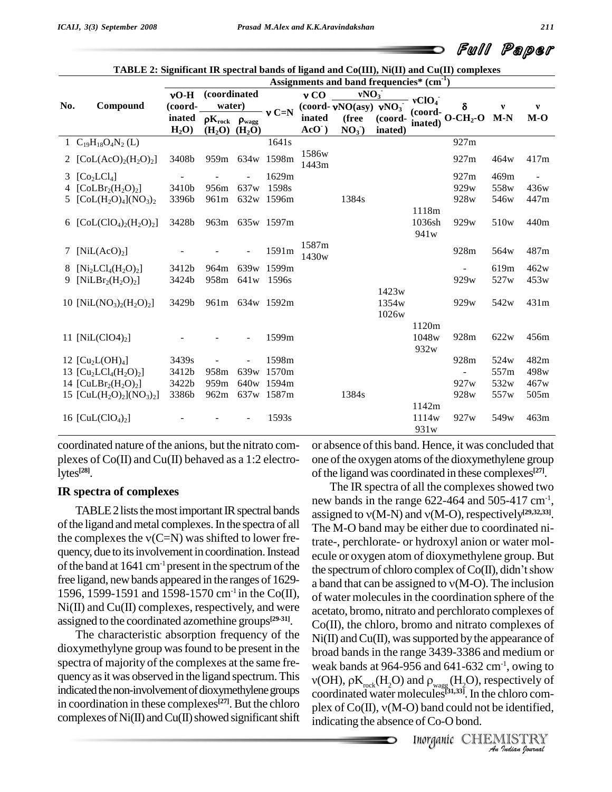|     |                                                                           |         |                               |                  |                                   |                | Assignments and band frequencies* (cm <sup>-1</sup> ) |                   |                            | $\sigma$ and $\sigma$ and $\sigma$ is a set of $\sigma$ and $\sigma$ (TH), $\sigma$ and $\sigma$ (TH) complexes |                  |       |
|-----|---------------------------------------------------------------------------|---------|-------------------------------|------------------|-----------------------------------|----------------|-------------------------------------------------------|-------------------|----------------------------|-----------------------------------------------------------------------------------------------------------------|------------------|-------|
|     |                                                                           | $vO-H$  | (coordinated                  |                  | vNO <sub>3</sub><br>$v \text{CO}$ |                |                                                       | vClO <sub>4</sub> |                            |                                                                                                                 |                  |       |
| No. | Compound                                                                  | (coord- | water)                        |                  | $v C=N$                           |                | (coord- $vNO(asy)$ $vNO3$ )                           |                   | (coord-                    | δ                                                                                                               |                  | v     |
|     |                                                                           | inated  | $\rho K_{rock}$ $\rho_{wagg}$ |                  |                                   | inated         | (free                                                 | (coord-           | inated)                    | $O - CH2-O$                                                                                                     | $M-N$            | $M-O$ |
|     |                                                                           | $H_2O$  | $(H2O)$ $(H2O)$               |                  |                                   | $AcO$ )        | NO <sub>3</sub> )                                     | inated)           |                            |                                                                                                                 |                  |       |
|     | 1 $C_{19}H_{18}O_4N_2(L)$                                                 |         |                               |                  | 1641s                             |                |                                                       |                   |                            | 927m                                                                                                            |                  |       |
|     | 2 [CoL(AcO) <sub>2</sub> (H <sub>2</sub> O) <sub>2</sub> ]                | 3408b   |                               |                  | 959m 634w 1598m                   | 1586w<br>1443m |                                                       |                   |                            | 927m                                                                                                            | 464w             | 417m  |
|     | 3 $[Co2LCl4]$                                                             |         |                               |                  | 1629m                             |                |                                                       |                   |                            | 927m                                                                                                            | 469m             |       |
|     | 4 $[CoLBr2(H2O)2]$                                                        | 3410b   | 956m                          | 637 <sub>w</sub> | 1598s                             |                |                                                       |                   |                            | 929w                                                                                                            | 558w             | 436w  |
|     | 5 $[CoL(H2O)4](NO3)2$                                                     | 3396b   | 961 <sub>m</sub>              |                  | 632w 1596m                        |                | 1384s                                                 |                   |                            | 928w                                                                                                            | 546w             | 447m  |
|     |                                                                           |         |                               |                  |                                   |                |                                                       |                   | 1118m                      |                                                                                                                 |                  |       |
|     | 6 $[CoL(CIO4)2(H2O)2]$                                                    | 3428b   |                               |                  | 963m 635w 1597m                   |                |                                                       |                   | 1036sh<br>941 <sub>w</sub> | 929w                                                                                                            | 510 <sub>w</sub> | 440m  |
|     |                                                                           |         |                               |                  |                                   | 1587m          |                                                       |                   |                            |                                                                                                                 |                  |       |
|     | 7 $[NiL(AcO)2]$                                                           |         |                               |                  | 1591m                             | 1430w          |                                                       |                   |                            | 928m                                                                                                            | 564w             | 487m  |
| 8   | $[Ni_2LCl_4(H_2O)_2]$                                                     | 3412b   | 964m                          |                  | 639w 1599m                        |                |                                                       |                   |                            | $\overline{\phantom{0}}$                                                                                        | 619m             | 462w  |
|     | 9 [NiLBr <sub>2</sub> (H <sub>2</sub> O) <sub>2</sub> ]                   | 3424b   |                               | 958m 641w 1596s  |                                   |                |                                                       |                   |                            | 929w                                                                                                            | 527w             | 453w  |
|     |                                                                           |         |                               |                  |                                   |                |                                                       | 1423w             |                            |                                                                                                                 |                  |       |
|     | 10 [NiL(NO <sub>3</sub> ) <sub>2</sub> (H <sub>2</sub> O) <sub>2</sub> ]  | 3429b   |                               |                  | 961m 634w 1592m                   |                |                                                       | 1354w             |                            | 929w                                                                                                            | 542w             | 431m  |
|     |                                                                           |         |                               |                  |                                   |                |                                                       | 1026w             |                            |                                                                                                                 |                  |       |
|     |                                                                           |         |                               |                  |                                   |                |                                                       |                   | 1120m                      |                                                                                                                 |                  |       |
|     | 11 [NiL(ClO4) <sub>2</sub> ]                                              |         |                               |                  | 1599m                             |                |                                                       |                   | 1048w                      | 928m                                                                                                            | 622w             | 456m  |
|     |                                                                           |         |                               |                  |                                   |                |                                                       |                   | 932w                       |                                                                                                                 |                  |       |
|     | 12 $\text{[Cu}_2\text{L}(\text{OH})_4$                                    | 3439s   |                               |                  | 1598m                             |                |                                                       |                   |                            | 928m                                                                                                            | 524w             | 482m  |
|     | 13 $[Cu2LCl4(H2O)2]$                                                      | 3412b   | 958m                          |                  | 639w 1570m                        |                |                                                       |                   |                            | $\overline{a}$                                                                                                  | 557m             | 498w  |
|     | 14 [CuLBr <sub>2</sub> (H <sub>2</sub> O) <sub>2</sub> ]                  | 3422b   | 959m                          |                  | 640w 1594m                        |                |                                                       |                   |                            | 927 <sub>w</sub>                                                                                                | 532w             | 467w  |
|     | 15 [CuL(H <sub>2</sub> O) <sub>2</sub> ](NO <sub>3</sub> ) <sub>2</sub> ] | 3386b   | 962m                          |                  | 637w 1587m                        |                | 1384s                                                 |                   |                            | 928w                                                                                                            | 557 <sub>w</sub> | 505m  |
|     |                                                                           |         |                               |                  |                                   |                |                                                       |                   | 1142m                      |                                                                                                                 |                  |       |
|     | 16 $[CuL(CIO4)2]$                                                         |         |                               |                  | 1593s                             |                |                                                       |                   | 1114w                      | 927 <sub>w</sub>                                                                                                | 549 <sub>w</sub> | 463m  |
|     |                                                                           |         |                               |                  |                                   |                |                                                       |                   | 931w                       |                                                                                                                 |                  |       |

|  | TABLE 2: Significant IR spectral bands of ligand and Co(III), Ni(II) and Cu(II) complexes |
|--|-------------------------------------------------------------------------------------------|
|  |                                                                                           |

coordinated nature of the anions, but the nitrato com plexes of  $Co(II)$  and  $Cu(II)$  behaved as a 1:2 electrolytes **[28]**.

## **IR spectra of complexes**

TABLE 2 lists the most important IR spectral bands of the ligand and metal complexes. In the spectra of all the complexes the  $v(C=N)$  was shifted to lower frequency, due to its involvement in coordination. Instead of the band at  $1641 \text{ cm}^{-1}$  present in the spectrum of the free ligand, new bands appeared in the ranges of  $1629-$  a band that can be assigned to  $v(M-O)$ . The inclusion 1596, 1599-1591 and 1598-1570 cm<sup>-1</sup> in the Co(II), of Ni(II) and Cu(II) complexes, respectively, and were assigned to the coordinated azomethine groups **[29-31]**.

The characteristic absorption frequency of the dioxymethylyne group wasfound to be present in the spectra of majority of the complexes at the same fre quencyasitwas observed in the ligand spectrum.This indicated the non-involvement of dioxymethylene groups in coordination in these complexes **[27]**. But the chloro in coordination in these complexes<sup>tary</sup>. But the chloro plex of  $Co(II)$ ,  $v(M-O)$  band could not be identified, complexes of Ni(II) and Cu(II) showed significant shift indicating the absence of Co-O bond

or absence ofthis band. Hence, it was concluded that one of the oxygen atoms of the dioxymethylene group of the ligand was coordinated in these complexes<sup>[27]</sup>.

weak bands at 964-956 and 641-632 cm<sup>-1</sup>, owing to *I*<sup>1</sup>, owing to<br>bectively of<br>chloro com-<br>*I*ISTRY<br>IllSTRY The IR spectra of all the complexes showed two new bands in the range  $622-464$  and  $505-417$  cm<sup>-1</sup>, , The IR spectra of all the complexes showed two<br>new bands in the range  $622-464$  and  $505-417$  cm<sup>-1</sup>,<br>assigned to  $v(M-N)$  and  $v(M-O)$ , respectively<sup>[29,32,33]</sup>. The M-O band may be either due to coordinated nitrate-, perchlorate- or hydroxyl anion or water mol ecule or oxygen atom of dioxymethylene group. But trate-, perchlorate- or hydroxyl anion or water molecule or oxygen atom of dioxymethylene group. But<br>the spectrum of chloro complex of Co(II), didn't show ecule or oxygen atom of dioxymethylene group. But<br>the spectrum of chloro complex of  $Co(II)$ , didn't show<br>a band that can be assigned to  $v(M-O)$ . The inclusion of water moleculesin the coordination sphere of the acetato, bromo, nitrato and perchlorato complexes of Co(II), the chloro, bromo and nitrato complexes of  $Ni(II)$  and  $Cu(II)$ , was supported by the appearance of broad bandsin the range 3439-3386 and medium or Ìroad bands in the range 3439-3386 and medium or<br>veak bands at 964-956 and 641-632 cm<sup>-1</sup>, owing to<br>(OH),  $\rho K_{\text{rock}}(H_2O)$  and  $\rho_{\text{wagg}}(H_2O)$ , respectively of coordinated water molecules **[31,33]**. In the chloro com  $v(OH)$ ,  $\rho K_{rock}(H_2O)$  and  $\rho_{wagg}(H_2O)$ , respectively of coordinated water molecules<sup>[31,33]</sup>. In the chloro complex of Co(II),  $v(M-O)$  band could not be identified, indicating the absence of Co-O bond.

Inorganic CHEMISTRY<br>An Indian Journal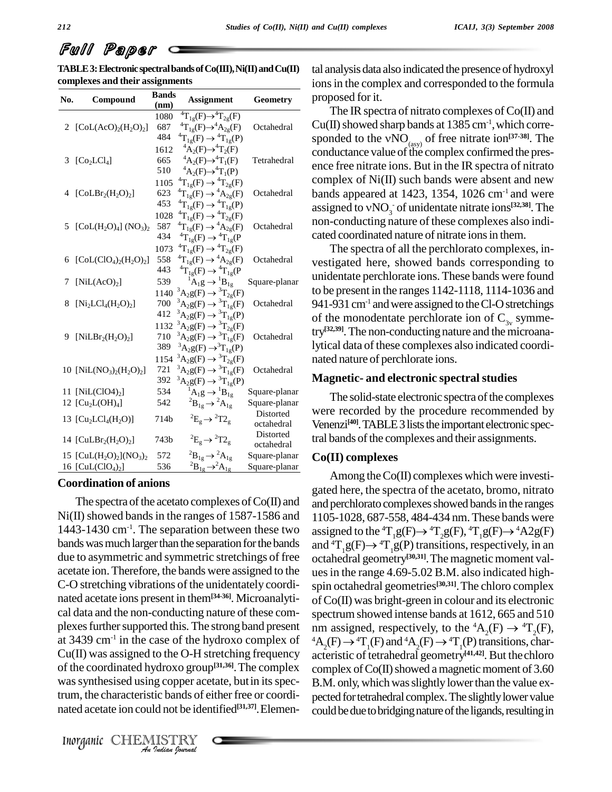**TABLE3:ElectronicspectralbandsofCo(III),Ni(II)andCu(II) complexes and their assignments**

| No. | Compound                                                                 | <b>Bands</b><br>(nm) | <b>Assignment</b>                                                                                | Geometry                |
|-----|--------------------------------------------------------------------------|----------------------|--------------------------------------------------------------------------------------------------|-------------------------|
|     |                                                                          | 1080                 | ${}^4T_{1g}(F) \rightarrow {}^4T_{2g}(F)$                                                        |                         |
| 2   | $[CoL(AcO)2(H2O)2]$                                                      | 687<br>484           | ${}^4T_{1g}(F) \rightarrow {}^4A_{2g}(F)$<br>${}^{4}T_{1g}(F) \rightarrow {}^{4}T_{1g}(P)$       | Octahedral              |
|     |                                                                          | 1612                 | ${}^4A_2(F) \rightarrow {}^4T_2(F)$                                                              |                         |
| 3   | [Co <sub>2</sub> LCl <sub>4</sub> ]                                      | 665                  | ${}^4A_2(F) \rightarrow {}^4T_1(F)$                                                              | Tetrahedral             |
|     |                                                                          | 510                  | ${}^4A_2(F) \rightarrow {}^4T_1(P)$                                                              |                         |
|     |                                                                          | 1105                 | ${}^{4}T_{1g}(F) \rightarrow {}^{4}T_{2g}(F)$                                                    |                         |
|     | 4 [ $CoLBr2(H2O)2$ ]                                                     | 623                  | ${}^{4}T_{1g}(F) \rightarrow {}^{4}A_{2g}(F)$                                                    | Octahedral              |
|     |                                                                          | 453                  | ${}^{4}T_{1g}F$ $\rightarrow {}^{4}T_{1g}F$ $(P)$                                                |                         |
| 5   |                                                                          | 1028<br>587          | ${}^{4}T_{1g}F^{}(F) \rightarrow {}^{4}T_{2g}F$<br>${}^{4}T_{1g}(F) \rightarrow {}^{4}A_{2g}(F)$ | Octahedral              |
|     | $[CoL(H2O)4] (NO3)2$                                                     | 434                  | ${}^4T_{1g}(F) \rightarrow {}^4T_{1g}(P)$                                                        |                         |
|     |                                                                          | 1073                 | ${}^{4}T_{1g}(F) \rightarrow {}^{4}T_{2g}(F)$                                                    |                         |
| 6   | $[CoL(CIO4)2(H2O)2]$                                                     | 558                  | ${}^{4}T_{1g}F^{}(F) \rightarrow {}^{4}A_{2g}F$                                                  | Octahedral              |
|     |                                                                          | 443                  | ${}^4T_{1g}F$ $\rightarrow {}^4T_{1g}$ $(P$                                                      |                         |
| 7   | [NiL(AcO) <sub>2</sub> ]                                                 | 539                  | ${}^{1}\mathrm{A}_{1}\mathrm{g} \rightarrow {}^{1}\mathrm{B}_{1}\mathrm{g}$                      | Square-planar           |
|     |                                                                          | 1140                 | ${}^3A_2g(F) \to {}^3T_{2g}(F)$                                                                  |                         |
| 8   | $[Ni_2LCl_4(H_2O)_2]$                                                    | 700                  | ${}^3A_2g(F) \to {}^3T_{1g}(F)$                                                                  | Octahedral              |
|     |                                                                          | 412                  | ${}^{3}A_{2}g(F) \rightarrow {}^{3}T_{1g}(P)$                                                    |                         |
| 9   | [NiLBr <sub>2</sub> (H <sub>2</sub> O) <sub>2</sub> ]                    | 1132<br>710          | ${}^3A_2g(F) \to {}^3T_{2g}(F)$<br>${}^{3}A_{2}g(F) \rightarrow {}^{3}T_{1g}(F)$                 | Octahedral              |
|     |                                                                          | 389                  | ${}^3A_2g(F) \rightarrow {}^3T_{1g}(P)$                                                          |                         |
|     |                                                                          | 1154                 | ${}^3A_2g(F) \to {}^3T_{2g}(F)$                                                                  |                         |
|     | 10 [NiL(NO <sub>3</sub> ) <sub>2</sub> (H <sub>2</sub> O) <sub>2</sub> ] | 721                  | ${}^3A_2g(F) \to {}^3T_{1g}(F)$                                                                  | Octahedral              |
|     |                                                                          | 392                  | ${}^3A_2g(F) \rightarrow {}^3T_{1g}(P)$                                                          |                         |
|     | 11 $[NiL(CIO4)2]$                                                        | 534                  | ${}^{1}A_{1}g \rightarrow {}^{1}B_{1g}$                                                          | Square-planar           |
|     | 12 $[Cu2L(OH)4]$                                                         | 542                  | ${}^2B_{1g} \rightarrow {}^2A_{1g}$                                                              | Square-planar           |
|     | 13 [ $Cu2LCl4(H2O)$ ]                                                    | 714b                 | ${}^2E_g \rightarrow {}^2T2_g$                                                                   | Distorted               |
|     |                                                                          |                      |                                                                                                  | octahedral<br>Distorted |
|     | 14 [CuLBr <sub>2</sub> (H <sub>2</sub> O) <sub>2</sub> ]                 | 743b                 | ${}^2E_g \rightarrow {}^2T2_g$                                                                   | octahedral              |
|     | 15 [CuL $(H_2O)_2$ ](NO <sub>3</sub> ) <sub>2</sub>                      | 572                  | ${}^2B_{1g} \rightarrow {}^2A_{1g}$                                                              | Square-planar           |
|     | 16 [ $CuL(CIO4)2$ ]                                                      | 536                  | ${}^2B_{1g} \rightarrow {}^2A_{1g}$                                                              | Square-planar           |

#### **Coordination of anions**

of the coordinated hydroxo group<sup>[31,36]</sup>. The complex comple *Indian Indian Indian Incordinated hydroxo group*<sup>[31,36]</sup>. The convas synthesised using copper acetate, but in its<br>
Irum, the characteristic bands of either free or contracted acetate ion could not be identified<sup>[31</sup> The spectra of the acetato complexes of  $Co(II)$  and  $Ni(II)$  showed bands in the ranges of 1587-1586 and 1443-1430 cm<sup>-1</sup>. The separation between these two assigne bands was much larger than the separation for the bands due to asymmetric and symmetric stretchings of free acetate ion.Therefore, the bands were assigned to the C-O stretching vibrations of the unidentately coordi nated acetate ions present in them**[34-36]**. Microanalyti cal data and the non-conducting nature of these com plexes further supported this. The strong band present at 3439 cm<sup>-1</sup> in the case of the hydroxo complex of  $A_{A}$ Cu(II) was assigned to the O-H stretching frequency was synthesised using copper acetate, but in its spectrum, the characteristic bands of either free or coordinated acetate ion could not be identified **[31,37]**.Elemen-

tal analysis data also indicated the presence of hydroxyl ions in the complex and corresponded to the formula proposed for it.

The IR spectra of nitrato complexes of  $Co(II)$  and  $Cu(II)$  showed sharp bands at 1385 cm<sup>-1</sup>, which corre-The IR spectra of nitrato complexes of Co(II) and Cu(II) showed sharp bands at 1385 cm<sup>-1</sup>, which corresponded to the vNO<sub>(asy)</sub> of free nitrate ion<sup>[37-38]</sup>. The conductance value of the complex confirmed the presence free nitrate ions. But in the IR spectra of nitrato complex of Ni(II) such bands were absent and new bands appeared at 1423, 1354, 1026  $cm<sup>-1</sup>$  and were complex of Ni(II) such bands were absent and new<br>bands appeared at 1423, 1354, 1026 cm<sup>-1</sup> and were<br>assigned to vNO<sub>3</sub> of unidentate nitrate ions<sup>[32,38]</sup>. The non-conducting nature of these complexes also indicated coordinated nature of nitrate ions in them.

The spectra of all the perchlorato complexes, in vestigated here, showed bands corresponding to unidentate perchlorate ions. These bands were found to be present in the ranges 1142-1118, 1114-1036 and 941-931 cm<sup>-1</sup> and were assigned to the Cl-O stretchings of the monodentate perchlorate ion of  $C_{3v}$  symmetry **[32,39]**.The non-conducting nature and themicroanalytical data of these complexes also indicated coordi nated nature of perchlorate ions.

### **Magnetic- and electronic spectralstudies**

The solid-state electronic spectra of the complexes were recorded by the procedure recommended by Venenzi<sup>[40]</sup>. TABLE 3 lists the important electronic spectral bands of the complexes and their assignments.

### **Co(II) complexes**

Among the Co(II) complexes which were investigated here, the spectra of the acetato, bromo, nitrato and perchlorato complexes showed bands in the ranges 1105-1028, 687-558, 484-434 nm.These bands were and perchlorato complexes showed bands in the ranges<br>1105-1028, 687-558, 484-434 nm. These bands were<br>assigned to the <sup>4</sup>T<sub>1</sub>g(F) $\rightarrow$  <sup>4</sup>T<sub>2</sub>g(F), <sup>4</sup>T<sub>1</sub>g(F) $\rightarrow$  <sup>4</sup>A2g(F) and  ${}^4T_1g(F) \rightarrow {}^4T_1g(P)$  transitions, respectively, in an 5-1028, 687-558, 484-434 nm. These bands were<br>gned to the <sup>4</sup>T<sub>1</sub>g(F)  $\rightarrow$  <sup>4</sup>T<sub>2</sub>g(F), <sup>4</sup>T<sub>1</sub>g(F)  $\rightarrow$  <sup>4</sup>A2g(F)<br><sup>4</sup>T<sub>1</sub>g(F)  $\rightarrow$  <sup>4</sup>T<sub>1</sub>g(P) transitions, respectively, in an octahedral geometry<sup>[30,31]</sup>. The magnetic moment values in the range 4.69-5.02 B.M. also indicated highspin octahedral geometries **[30,31]**.The chloro complex ofCo(II) was bright-green in colour and its electronic spectrum showed intense bands at 1612, 665 and 510 nm assigned, respectively, to the  ${}^4A_2(F) \rightarrow {}^4T_2(F)$ , of Co(II) was bright-green in colour and its electronic<br>spectrum showed intense bands at 1612, 665 and 510<br>nm assigned, respectively, to the <sup>4</sup>A<sub>2</sub>(F)  $\rightarrow$  <sup>4</sup>T<sub>2</sub>(F),<br><sup>4</sup>A<sub>2</sub>(F)  $\rightarrow$  <sup>4</sup>T<sub>1</sub>(F) and <sup>4</sup>A<sub>2</sub>(F)  $\rightarrow$  <sup>4</sup>T<sub></sub> spectrum showed intense bands at 1612, 665 and 510<br>nm assigned, respectively, to the <sup>4</sup>A<sub>2</sub>(F)  $\rightarrow$  <sup>4</sup>T<sub>2</sub>(F),<br><sup>4</sup>A<sub>2</sub>(F)  $\rightarrow$  <sup>4</sup>T<sub>1</sub>(F) and <sup>4</sup>A<sub>2</sub>(F)  $\rightarrow$  <sup>4</sup>T<sub>1</sub>(P) transitions, char-<br>acteristic of tetrahedral geome acteristic of tetrahedral geometry<sup>[41,42]</sup>. But the chloro complex of  $Co(II)$  showed a magnetic moment of 3.60 B.M. only, which was slightly lower than the value expected for tetrahedral complex. The slightly lower value could be due to bridging nature of the ligands, resulting in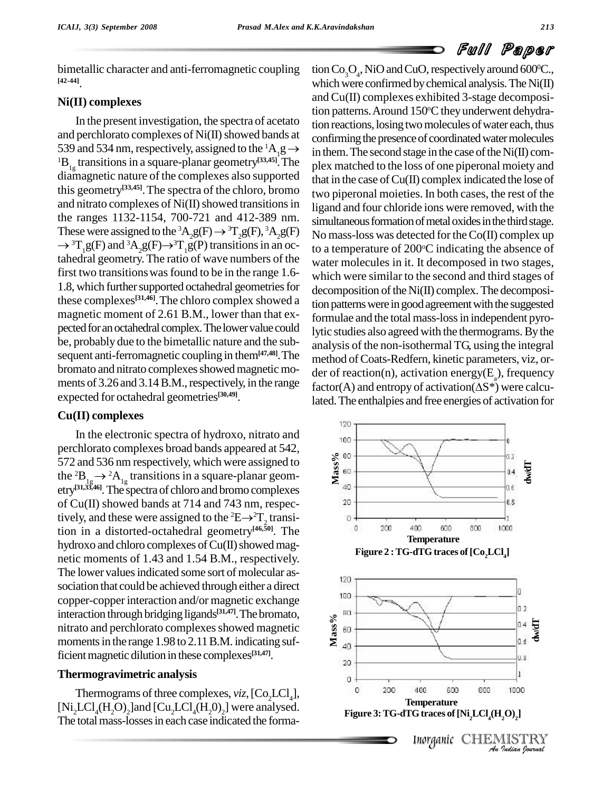bimetallic character and anti-ferromagnetic coupling **[42-44]**.

### **Ni(II) complexes**

In the present investigation, the spectra of acetato and perchlorato complexes of  $Ni(II)$  showed bands at 539 and 534 nm, respectively, assigned to the  ${}^{1}A_{1}g \rightarrow$  ${}^{1}B_{1g}$  transitions in a square-planar geometry<sup>[33,45]</sup>. The plex n diamagnetic nature of the complexes also supported this geometry<sup>[33,45]</sup>. The spectra of the chloro, bromo  $_{\text{two}}$  <sub>two pit</sub> and nitrato complexes of  $Ni(II)$  showed transitions in the ranges 1132-1154, 700-721 and 412-389 nm.  $\frac{12}{115}$ and nitrato complexes of Ni(II) showed transitions in liga<br>the ranges 1132-1154, 700-721 and 412-389 nm. sim<br>These were assigned to the  ${}^3A_2g(F) \rightarrow {}^3T_2g(F), {}^3A_2g(F)$  No  $\rightarrow$  <sup>3</sup>T<sub>1</sub>g(F) and <sup>3</sup>A<sub>2</sub>g(F) $\rightarrow$ <sup>3</sup>T<sub>1</sub>g(P) transitions in an oc-32-1154, 700-721 and 412-389 nm.<br>
igned to the <sup>3</sup>A<sub>2</sub>g(F)  $\rightarrow$  <sup>3</sup>T<sub>2</sub>g(F), <sup>3</sup>A<sub>2</sub>g(F)<br>
<sup>3</sup>A<sub>2</sub>g(F)  $\rightarrow$  <sup>3</sup>T<sub>1</sub>g(P) transitions in an oc-<br>
to a tahedral geometry.The ratio of wave numbers of the first two transitions was found to be in the range 1.6-1.8, which further supported octahedral geometries for these complexes<sup>[31,46]</sup>. The chloro complex showed a tion part magnetic moment of 2.61 B.M., lower than that ex pected for an octahedral complex. The lower value could be, probably due to the bimetallic nature and the sub sequent anti-ferromagnetic coupling in them**[47,48]**.The bromato and nitrato complexes showed magnetic moments of 3.26 and 3.14 B.M., respectively, in the range  $factor(A)$  and entropy of activation  $(\Delta S^*)$  were calcuexpected for octahedral geometries **[30,49]**.

### **Cu(II) complexes**

In the electronic spectra of hydroxo, nitrato and perchlorato complexes broad bands appeared at 542, 572 and 536 nm respectively, which were assigned to the  ${}^{2}B_{1g} \rightarrow {}^{2}A_{1g}$  transitions in a square-planar geometry<sup>[31,35,46]</sup>. The spectra of chloro and bromo complexes<br>of Cu(II) showed bands at 714 and 743 nm, respec-<br>tively, and these were assigned to the <sup>2</sup>E→<sup>2</sup>T<sub>2</sub> transiof Cu(II) showed bands at 714 and 743 nm, respectively, and these were assigned to the <sup>2</sup>E $\rightarrow$ <sup>2</sup>T<sub>2</sub> transition in a distorted-octahedral geometry **[46,50]**. The hydroxo and chloro complexes of Cu(II) showed magnetic moments of 1.43 and 1.54 B.M., respectively. The lower values indicated some sort of molecular association that could be achieved through either a direct copper-copper interaction and/or magnetic exchange interaction through bridging ligands **[31,47]**.Thebromato, nitrato and perchlorato complexes showed magnetic moments in the range 1.98 to 2.11 B.M. indicating sufficient magnetic dilution in these complexes<sup>[31,47]</sup>.

### **Thermogravimetric analysis**

Thermograms of three complexes, *viz*,  $[Co_2LCl_4]$ ,  $[Ni_2LCl_4(H_2O)_2]$  and  $[Cu_2LCl_4(H_2O)_2]$  were analysed. The total mass-losses in each case indicated the forma-

Exercise is the presence of coordinated water each, thus<br>pands at confirming the presence of coordinated water molecules<br> ${}^{1}A_{1}g \rightarrow$  in them. The second stage in the case of the Ni(II) comtion  $Co_3O_4$ , NiO and CuO, respectively around 600°C., which were confirmed by chemical analysis. The  $Ni(II)$ and Cu(II) complexes exhibited 3-stage decomposition patterns. Around 150°C they underwent dehydraconfirming the presence of coordinated water molecules in them. The second stage in the case of the  $Ni(II)$  complex matched to the loss of one piperonal moiety and that in the case of  $Cu(II)$  complex indicated the lose of two piperonal moieties. In both cases, the rest of the ligand and four chloride ions were removed, with the simultaneous formation of metal oxides in the third stage. No mass-loss was detected for theCo(II) complex up to a temperature of 200°C indicating the absence of water molecules in it. It decomposed in two stages, which were similar to the second and third stages of  $decomposition$  of the  $Ni(II)$  complex. The decomposition patterns were in good agreement with the suggested formulae and the total mass-lossin independent pyrolytic studies also agreed with the thermograms.By the analysis of the non-isothermal TG, using the integral method of Coats-Redfern, kinetic parameters, viz, order of reaction(n), activation energy( $E_a$ ), frequency method of Coats-Redfern, kinetic parameters, viz, or-<br>der of reaction(n), activation energy( $E_a$ ), frequency<br>factor(A) and entropy of activation( $\Delta S^*$ ) were calculated.The enthalpies and free energies of activation for

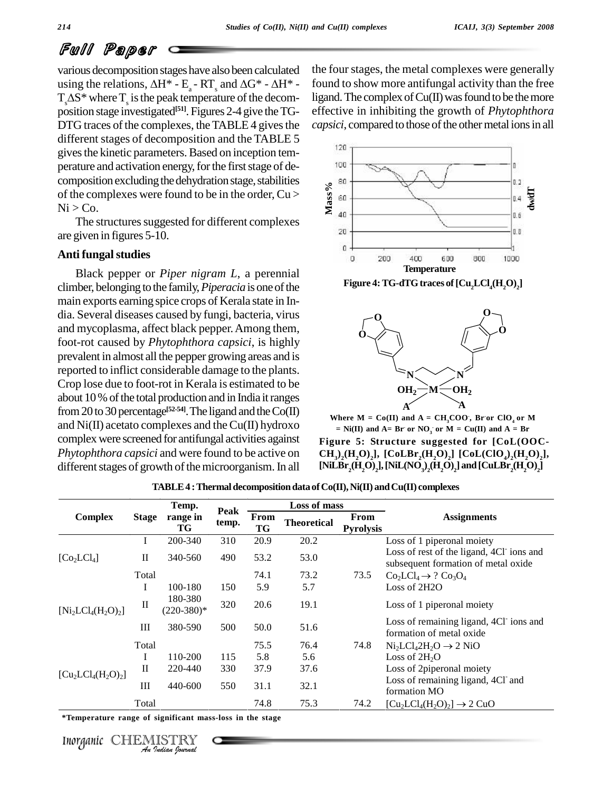various decomposition stageshave also been calculated various decomposition stages have also been calculated the fc<br>using the relations,  $\Delta H^* - E_a - RT_s$  and  $\Delta G^* - \Delta H^* -$  found<br> $T_s \Delta S^*$  where  $T_s$  is the peak temperature of the decom-<br>position stage investigated<sup>[51]</sup>. Figur DTG traces of the complexes, the TABLE 4 gives the different stages of decomposition and the TABLE 5 gives the kinetic parameters. Based on inception temperature and activation energy, for the first stage of decomposition excluding the dehydration stage, stabilities of the complexes were found to be in the order,  $Cu > \frac{8}{9}$  60  $Ni > Co.$ 

The structures suggested for different complexes are given in figures 5-10.

### **Anti fungalstudies**

Black pepper or *Piper nigram L*, a perennial climber, belonging to the family, *Piperacia* is one of the main exports earning spice crops of Kerala state in In-dia. Several diseases caused by fungi, bacteria, virus and mycoplasma, affect black pepper.Among them, foot-rot caused by *Phytophthora capsici*, is highly prevalent in almost all the pepper growing areas and is reported to inflict considerable damage to the plants. Crop lose due to foot-rot in Kerala is estimated to be about 10% of the total production and in India it ranges from 20 to 30 percentage<sup>[52-54]</sup>. The ligand and the Co(II) and  $Ni(II)$  acetato complexes and the Cu(II) hydroxo complex were screened forantifungal activities against *Phytophthora capsici* and were found to be active on different stages of growth of the microorganism. In all

the four stages, the metal complexes were generally found to show more antifungal activity than the free ligand. The complex of  $Cu(II)$  was found to be the more effective in inhibiting the growth of *Phytophthora capsici*, compared to those of the other metal ions in all



**Figure 4:TG-dTGtraces of[Cu2LCl4(H2O) <sup>2</sup>]**



**Where**  $M = Co(II)$  and  $A = CH_3COO$ , Bror  $ClO_4$  or  $M$ **= Ni(II) and A= Br - or NO<sup>3</sup> - or M = Cu(II) and A = Br**

**Figure 5: Structure suggested for [CoL(OOC-**  $\textbf{CH}_3$ )<sub>2</sub>( $\textbf{H}_2\textbf{O}_2$ ], [CoLBr<sub>2</sub>( $\textbf{H}_2\textbf{O}_2$ ] [CoL(ClO<sub>4</sub>)<sub>2</sub>( $\textbf{H}_2\textbf{O}_2$ ],  $\mathrm{CH}_3)_2(\mathrm{H}_2\mathrm{O})_2$ ], [CoLBr<sub>2</sub>(H<sub>2</sub>O)<sub>2</sub>] [CoL(ClO<sub>4</sub>)<sub>2</sub>(H<sub>2</sub>O)<sub>2</sub>],<br>[NiLBr<sub>2</sub>(H<sub>2</sub>O)<sub>2</sub>], [NiL(NO<sub>3</sub>)<sub>2</sub>(H<sub>2</sub>O)<sub>2</sub>] and [CuLBr<sub>2</sub>(H<sub>2</sub>O)<sub>2</sub>]

|                                                          |              | Temp.                   |               |            | Loss of mass       |                          |                                                                                 |
|----------------------------------------------------------|--------------|-------------------------|---------------|------------|--------------------|--------------------------|---------------------------------------------------------------------------------|
| <b>Complex</b>                                           | <b>Stage</b> | range in<br>TG          | Peak<br>temp. | From<br>TG | <b>Theoretical</b> | From<br><b>Pyrolysis</b> | <b>Assignments</b>                                                              |
|                                                          | I            | 200-340                 | 310           | 20.9       | 20.2               |                          | Loss of 1 piperonal moiety                                                      |
| $[Co_2LCl_4]$                                            | $\rm II$     | 340-560                 | 490           | 53.2       | 53.0               |                          | Loss of rest of the ligand, 4Cl ions and<br>subsequent formation of metal oxide |
|                                                          | Total        |                         |               | 74.1       | 73.2               | 73.5                     | $Co2LCl4 \rightarrow ? Co3O4$                                                   |
|                                                          | I            | 100-180                 | 150           | 5.9        | 5.7                |                          | Loss of 2H2O                                                                    |
| $[Ni_2LCl_4(H_2O)_2]$                                    | $\mathbf{I}$ | 180-380<br>$(220-380)*$ | 320           | 20.6       | 19.1               |                          | Loss of 1 piperonal moiety                                                      |
|                                                          | Ш            | 380-590                 | 500           | 50.0       | 51.6               |                          | Loss of remaining ligand, 4Cl ions and<br>formation of metal oxide              |
|                                                          | Total        |                         |               | 75.5       | 76.4               | 74.8                     | $Ni2LCl42H2O \rightarrow 2 NiO$                                                 |
|                                                          | I            | 110-200                 | 115           | 5.8        | 5.6                |                          | Loss of $2H_2O$                                                                 |
|                                                          | $\mathbf{I}$ | 220-440                 | 330           | 37.9       | 37.6               |                          | Loss of 2piperonal moiety                                                       |
| $[Cu2LCl4(H2O)2]$                                        | Ш            | 440-600                 | 550           | 31.1       | 32.1               |                          | Loss of remaining ligand, 4Cl and<br>formation MO                               |
|                                                          | Total        |                         |               | 74.8       | 75.3               | 74.2                     | $[Cu2LCl4(H2O)2] \rightarrow 2 CuO$                                             |
| *Temperature range of significant mass-loss in the stage |              |                         |               |            |                    |                          |                                                                                 |
| Inorganic                                                |              | An Indian Nournal       |               |            |                    |                          |                                                                                 |

**TABLE4 :Thermaldecompositiondata ofCo(II),Ni(II) andCu(II) complexes**

Inorganic CHEMISTRY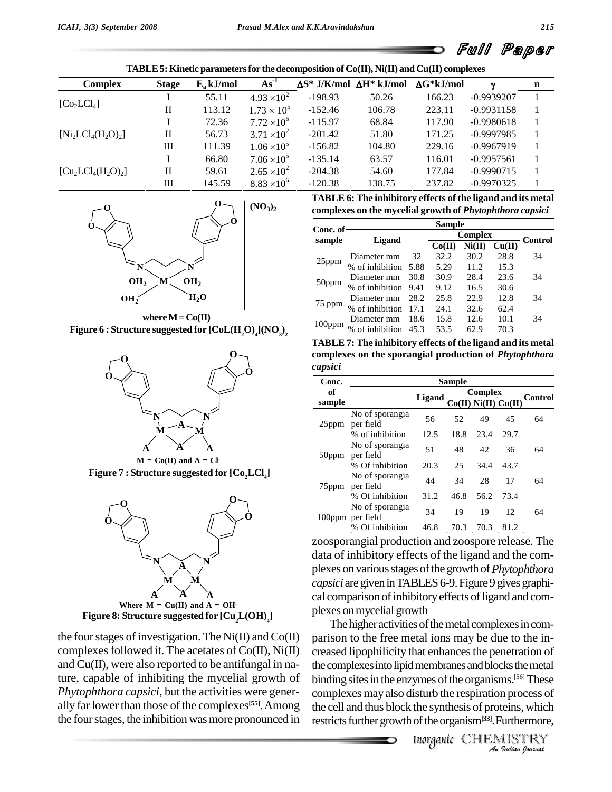| <b>Complex</b>                      | <b>Stage</b> | $E_a$ kJ/mol | $As^{-1}$            | $\Delta S^*$ J/K/mol $\Delta H^*$ kJ/mol |        | $\Delta G^*$ k.I/mol | ν            | n |
|-------------------------------------|--------------|--------------|----------------------|------------------------------------------|--------|----------------------|--------------|---|
|                                     |              | 55.11        | $4.93 \times 10^{2}$ | $-198.93$                                | 50.26  | 166.23               | $-0.9939207$ |   |
| [Co <sub>2</sub> LCl <sub>4</sub> ] | П            | 113.12       | $1.73 \times 10^{5}$ | $-152.46$                                | 106.78 | 223.11               | $-0.9931158$ |   |
|                                     |              | 72.36        | $7.72 \times 10^6$   | $-115.97$                                | 68.84  | 117.90               | $-0.9980618$ |   |
| $[Ni_2LCl_4(H_2O)_2]$               | $\rm{II}$    | 56.73        | $3.71 \times 10^{2}$ | $-201.42$                                | 51.80  | 171.25               | $-0.9997985$ |   |
|                                     | Ш            | 111.39       | $1.06 \times 10^5$   | $-156.82$                                | 104.80 | 229.16               | $-0.9967919$ |   |
|                                     |              | 66.80        | $7.06 \times 10^{5}$ | $-135.14$                                | 63.57  | 116.01               | $-0.9957561$ |   |
| $[Cu2LCl4(H2O)2]$                   | П            | 59.61        | $2.65 \times 10^{2}$ | $-204.38$                                | 54.60  | 177.84               | $-0.9990715$ |   |
|                                     | Ш            | 145.59       | $8.83 \times 10^{6}$ | $-120.38$                                | 138.75 | 237.82               | $-0.9970325$ |   |



 $\textbf{Figure 6: Structure suggested for [CoL(H, O)_{4}](NO_{3})_{2}}$ 



**Figure 7 : Structure suggested for [Co2LCl4]**  $M = Co(II)$  and  $A = Cl$ 



the four stages of investigation. The Ni(II) and  $Co(II)$ complexes followed it. The acetates of  $Co(II)$ , Ni $(II)$ and Cu(II), were also reported to be antifungal in nature, capable of inhibiting the mycelial growth of *Phytophthora capsici*, but the activities were gener ally far lower than those of the complexes<sup>[55]</sup>. Among the cell the four stages, the inhibition was more pronounced in

| TABLE 6: The inhibitory effects of the ligand and its metal |  |
|-------------------------------------------------------------|--|
| complexes on the mycelial growth of Phytophthora capsici    |  |

|           | <b>Sample</b>        |       |        |        |                |         |  |  |  |
|-----------|----------------------|-------|--------|--------|----------------|---------|--|--|--|
| Conc. of  | Ligand               |       |        |        | <b>Complex</b> |         |  |  |  |
| sample    |                      |       | Co(II) | Ni(II) | Cu(II)         | Control |  |  |  |
| 25ppm     | Diameter mm          | 32    | 32.2   | 30.2   | 28.8           | 34      |  |  |  |
|           | % of inhibition      | -5.88 | 5.29   | 11.2   | 15.3           |         |  |  |  |
|           | Diameter mm          | 30.8  | 30.9   | 28.4   | 23.6           | 34      |  |  |  |
| 50ppm     | % of inhibition 9.41 |       | 9.12   | 16.5   | 30.6           |         |  |  |  |
|           | Diameter mm          | 28.2  | 25.8   | 22.9   | 12.8           | 34      |  |  |  |
| 75 ppm    | % of inhibition      | 17.1  | 24.1   | 32.6   | 62.4           |         |  |  |  |
| $100$ ppm | Diameter mm          | 18.6  | 15.8   | 12.6   | 10.1           | 34      |  |  |  |
|           | of inhibition        | 45.3  | 53.5   | 62.9   | 70.3           |         |  |  |  |

**TABLE 7: The inhibitory effects of the ligand and itsmetal complexes on the sporangial production of** *Phytophthora capsici*

| Conc.             | <b>Sample</b>                       |        |                             |         |         |    |  |  |  |
|-------------------|-------------------------------------|--------|-----------------------------|---------|---------|----|--|--|--|
| of                |                                     | Ligand |                             | Complex | Control |    |  |  |  |
| sample            |                                     |        | $Co(II)$ Ni $(II)$ $Cu(II)$ |         |         |    |  |  |  |
| $25$ ppm          | No of sporangia<br>per field        | 56     | 52                          | 49      | 45      | 64 |  |  |  |
|                   | % of inhibition                     | 12.5   | 18.8                        | 23.4    | 29.7    |    |  |  |  |
| $50$ ppm          | No of sporangia<br>per field        | 51     | 48                          | 42      | 36      | 64 |  |  |  |
|                   | % Of inhibition                     | 20.3   | 25                          | 34.4    | 43.7    |    |  |  |  |
| 75 <sub>ppm</sub> | No of sporangia<br>per field        | 44     | 34                          | 28      | 17      | 64 |  |  |  |
|                   | % Of inhibition                     | 31.2   | 46.8                        | 56.2    | 73.4    |    |  |  |  |
|                   | No of sporangia<br>100ppm per field | 34     | 19                          | 19      | 12      | 64 |  |  |  |
|                   | % Of inhibition                     | 46.8   | 70.3                        | 70.3    | 81.2    |    |  |  |  |

zoosporangial production and zoospore release. The data of inhibitory effects of the ligand and the com plexes on variousstagesofthe growth of*Phytophthora capsici* are given in TABLES 6-9. Figure 9 gives graphical comparison of inhibitory effects of ligand and complexes onmycelial growth

IIn membranes and blocks the metal<br>
ymes of the organisms.<sup>[56]</sup> These<br>
isturb the respiration process of<br>
the synthesis of proteins, which<br>
of the organism<sup>[33]</sup>. Furthermore,<br> *Inorganic* CHEMISTRY the complexes into lipid membranes and blocks the metal The higher activities of the metal complexes in comparison to the free metal ions may be due to the in creased lipophilicity that enhances the penetration of binding sites in the enzymes of the organisms.<sup>[56]</sup> These complexes mayalso disturb the respiration process of the cell and thus block the synthesis of proteins, which restricts further growth of the organism<sup>[33]</sup>. Furthermore,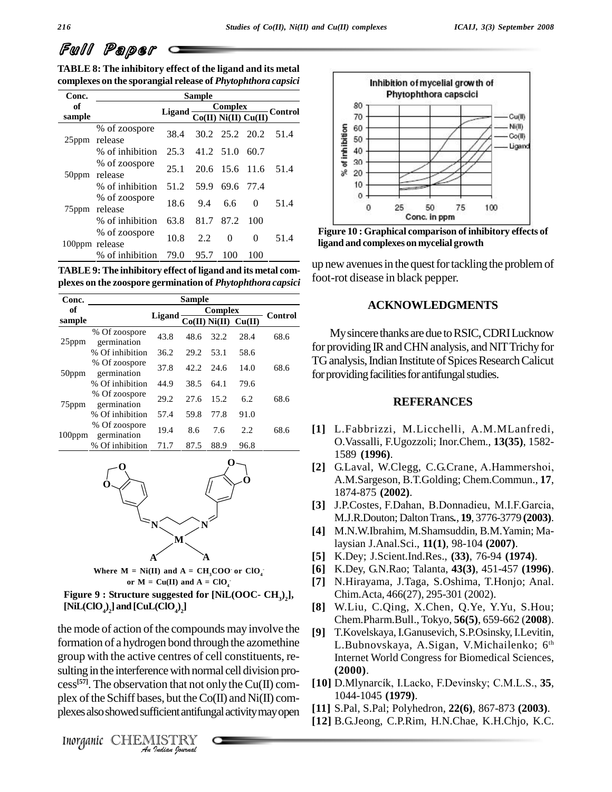| TABLE 8: The inhibitory effect of the ligand and its metal  |  |
|-------------------------------------------------------------|--|
| complexes on the sporangial release of Phytophthora capsici |  |

| Conc.        |                                 |          |                |                |                          |           |
|--------------|---------------------------------|----------|----------------|----------------|--------------------------|-----------|
| of<br>sample |                                 | Ligand - |                | Complex        | $Co(II)$ Ni(II) $Cu(II)$ | - Control |
| $25$ ppm     | % of zoospore<br>release        | 38.4     |                | 30.2 25.2 20.2 |                          | 51.4      |
|              | % of inhibition                 |          | 25.3 41.2 51.0 |                | 60.7                     |           |
| $50$ ppm     | % of zoospore<br>release        | 25.1     |                | 20.6 15.6 11.6 |                          | 51.4      |
|              | % of inhibition                 | 51.2     | 59.9           | 69.6 77.4      |                          |           |
| $75$ ppm     | % of zoospore<br>release        | 18.6     | 9.4            | 6.6            | $\Omega$                 | 51.4      |
|              | % of inhibition                 | 63.8     | 81.7           | 87.2           | 100                      |           |
|              | % of zoospore<br>100ppm release | 10.8     | 2.2            | $\Omega$       | 0                        | 51.4      |
|              | % of inhibition                 | 79.0     | 95.7           | 100            | 100                      |           |

**TABLE 9:The inhibitory effect of ligand and its metal com plexes on the zoospore germination of** *Phytophthora capsici*

| Conc.             | <b>Sample</b>                |          |         |      |                             |         |
|-------------------|------------------------------|----------|---------|------|-----------------------------|---------|
| of<br>sample      |                              | Ligand - | Complex |      |                             | Control |
|                   |                              |          |         |      | $Co(II)$ Ni $(II)$ $Cu(II)$ |         |
| $25$ ppm          | % Of zoospore<br>germination | 43.8     | 48.6    | 32.2 | 28.4                        | 68.6    |
|                   | % Of inhibition              | 36.2     | 29.2    | 53.1 | 58.6                        |         |
| 50ppm             | % Of zoospore<br>germination | 37.8     | 42.2    | 24.6 | 14.0                        | 68.6    |
|                   | % Of inhibition              | 44.9     | 38.5    | 64.1 | 79.6                        |         |
| 75 <sub>ppm</sub> | % Of zoospore<br>germination | 29.2     | 27.6    | 15.2 | 6.2                         | 68.6    |
|                   | % Of inhibition              | 57.4     | 59.8    | 77.8 | 91.0                        |         |
| $100$ ppm         | % Of zoospore<br>germination | 19.4     | 8.6     | 7.6  | 2.2                         | 68.6    |
|                   | % Of inhibition              | 71.7     | 87.5    | 88.9 | 96.8                        |         |



**Where**  $M = Ni(II)$  and  $A = CH_3COO$  or  $ClO_4^$ **or**  $M = Cu(II)$  **and**  $A = ClO<sub>4</sub>$ 

**Figure 9 : Structure suggested for [NiL(OOC- CH3) <sup>2</sup>], [NiL(ClO4)**  $_2$ **]** and  $\text{[CuL(CIO}_4)_2\text{]}$ 

sulting in the interference with normal cell division pro-<br>
cess<sup>[57]</sup>. The observation that not only the Cu(II) com-<br>
plex of the Schiff bases, but the Co(II) and Ni(II) com-<br>
plexes also showed sufficient antifungal act the mode of action of the compounds may involve the  $\lceil 9 \rceil$ formation of a hydrogen bond through the azomethine group with the active centres of cell constituents, re-  $\cos^{[57]}$ . The observation that not only the Cu(II) complex of the Schiff bases, but the  $Co(II)$  and  $Ni(II)$  complexesalsoshowedsufficientantifungalactivitymayopen



**Figure 10 : Graphical comparison ofinhibitory effects of ligand and complexes on mycelial growth**

up new avenues in the quest for tackling the problem of foot-rot disease in black pepper.

## **ACKNOWLEDGMENTS**

My sincere thanks are due to RSIC, CDRI Lucknow for providing IR and CHN analysis, and NIT Trichy for TG analysis, Indian Institute of Spices Research Calicut for providing facilities for antifungal studies.

#### **REFERANCES**

- **[1]** L.Fabbrizzi, M.Licchelli, A.M.MLanfredi, O.Vassalli, F.Ugozzoli; Inor.Chem., **13(35)**, 1582- 1589 **(1996)**.
- **[2]** G.Laval, W.Clegg, C.G.Crane, A.Hammershoi, A.M.Sargeson, B.T.Golding; Chem.Commun., **17**, 1874-875 **(2002)**.
- **[3]** J.P.Costes, F.Dahan, B.Donnadieu, M.I.F.Garcia, M.J.R.Douton; DaltonTrans*.*, **19**, 3776-3779 **(2003)**.
- **[4]** M.N.W.Ibrahim, M.Shamsuddin, B.M.Yamin; Malaysian J.Anal.Sci., **11(1)**, 98-104 **(2007)**.
- **[5]** K.Dey; J.Scient.Ind.Res., **(33)**, 76-94 **(1974)**.
- **[6]** K.Dey, G.N.Rao; Talanta, **43(3)**, 451-457 **(1996)**.
- **[7]** N.Hirayama, J.Taga, S.Oshima, T.Honjo; Anal. Chim.Acta, 466(27), 295-301 (2002).
- **[8]** W.Liu, C.Qing, X.Chen, Q.Ye, Y.Yu, S.Hou; Chem.Pharm.Bull., Tokyo, **56(5)**, 659-662 (**2008**).
- **[9]** T.Kovelskaya,I.Ganusevich, S.P.Osinsky,I.Levitin, L.Bubnovskaya, A.Sigan, V.Michailenko; 6 th Internet World Congress for Biomedical Sciences, **(2000)**.
- **[10]** D.MlynarcÌk, I.Lacko, F.Devinsky; C.M.L.S., **<sup>35</sup>**, 1044-1045 **(1979)**.
- **[11]** S.Pal, S.Pal; Polyhedron, **22(6)**, 867-873 **(2003)**.
- **[12]** B.G.Jeong, C.P.Rim, H.N.Chae, K.H.Chjo, K.C.

Inorganic CHEMISTRY<br>An Indian Iournal